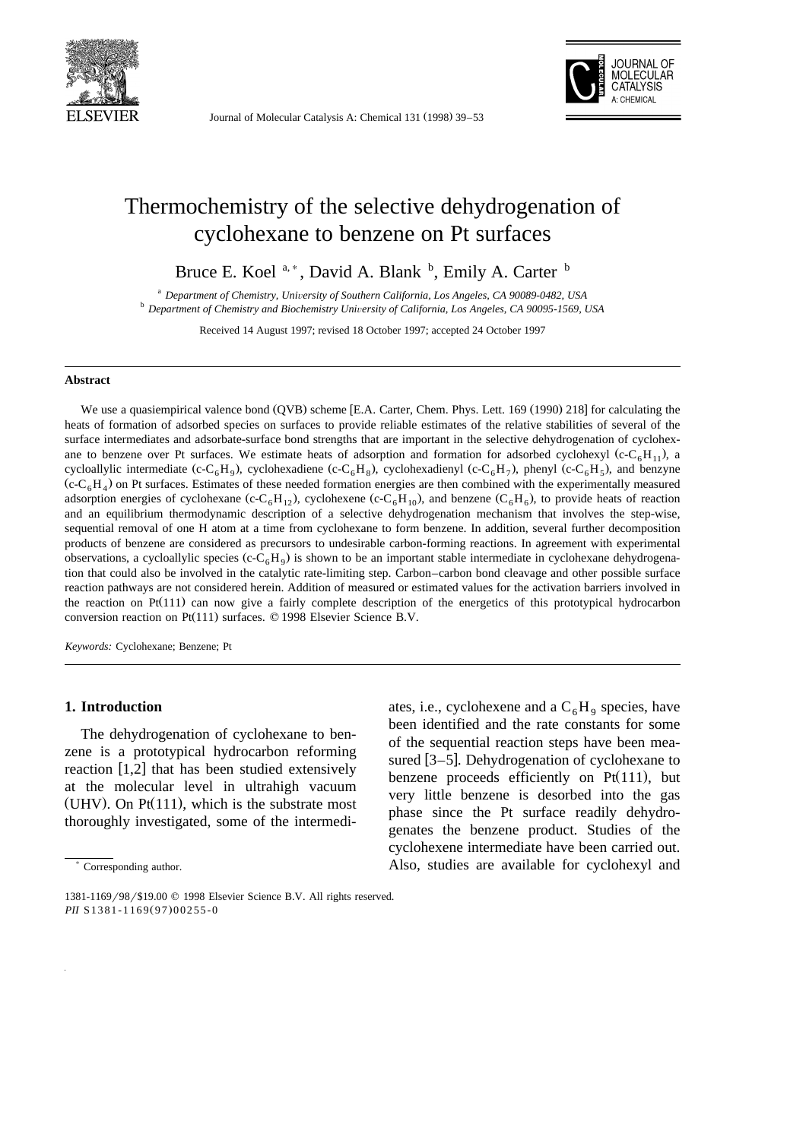

Journal of Molecular Catalysis A: Chemical 131 (1998) 39-53



# Thermochemistry of the selective dehydrogenation of cyclohexane to benzene on Pt surfaces

Bruce E. Koel <sup>a,\*</sup>, David A. Blank <sup>b</sup>, Emily A. Carter <sup>b</sup>

<sup>a</sup> *Department of Chemistry, University of Southern California, Los Angeles, CA 90089-0482, USA* b *Department of Chemistry and Biochemistry University of California, Los Angeles, CA 90095-1569, USA* 

Received 14 August 1997; revised 18 October 1997; accepted 24 October 1997

#### **Abstract**

We use a quasiempirical valence bond (QVB) scheme [E.A. Carter, Chem. Phys. Lett. 169 (1990) 218] for calculating the heats of formation of adsorbed species on surfaces to provide reliable estimates of the relative stabilities of several of the surface intermediates and adsorbate-surface bond strengths that are important in the selective dehydrogenation of cyclohexane to benzene over Pt surfaces. We estimate heats of adsorption and formation for adsorbed cyclohexyl  $(c-C_{\alpha}H_{11})$ , a cycloallylic intermediate (c-C<sub>6</sub>H<sub>9</sub>), cyclohexadiene (c-C<sub>6</sub>H<sub>3</sub>), cyclohexadienyl (c-C<sub>6</sub>H<sub>7</sub>), phenyl (c-C<sub>6</sub>H<sub>5</sub>), and benzyne  $(c-C<sub>e</sub>H<sub>a</sub>)$  on Pt surfaces. Estimates of these needed formation energies are then combined with the experimentally measured adsorption energies of cyclohexane (c-C<sub>6</sub>H<sub>12</sub>), cyclohexene (c-C<sub>6</sub>H<sub>10</sub>), and benzene (C<sub>6</sub>H<sub>6</sub>), to provide heats of reaction and an equilibrium thermodynamic description of a selective dehydrogenation mechanism that involves the step-wise, sequential removal of one H atom at a time from cyclohexane to form benzene. In addition, several further decomposition products of benzene are considered as precursors to undesirable carbon-forming reactions. In agreement with experimental observations, a cycloallylic species (c-C<sub>6</sub>H<sub>9</sub>) is shown to be an important stable intermediate in cyclohexane dehydrogenation that could also be involved in the catalytic rate-limiting step. Carbon–carbon bond cleavage and other possible surface reaction pathways are not considered herein. Addition of measured or estimated values for the activation barriers involved in the reaction on  $Pt(111)$  can now give a fairly complete description of the energetics of this prototypical hydrocarbon conversion reaction on Pt $(111)$  surfaces.  $©$  1998 Elsevier Science B.V.

*Keywords:* Cyclohexane; Benzene; Pt

## **1. Introduction**

The dehydrogenation of cyclohexane to benzene is a prototypical hydrocarbon reforming reaction  $[1,2]$  that has been studied extensively at the molecular level in ultrahigh vacuum (UHV). On  $Pt(111)$ , which is the substrate most thoroughly investigated, some of the intermediates, i.e., cyclohexene and a  $C_6H_9$  species, have been identified and the rate constants for some of the sequential reaction steps have been measured  $[3-5]$ . Dehydrogenation of cyclohexane to benzene proceeds efficiently on  $Pt(111)$ , but very little benzene is desorbed into the gas phase since the Pt surface readily dehydrogenates the benzene product. Studies of the cyclohexene intermediate have been carried out. Also, studies are available for cyclohexyl and

<sup>)</sup> Corresponding author.

<sup>1381-1169/98/\$19.00 © 1998</sup> Elsevier Science B.V. All rights reserved. *PII* S1381-1169(97)00255-0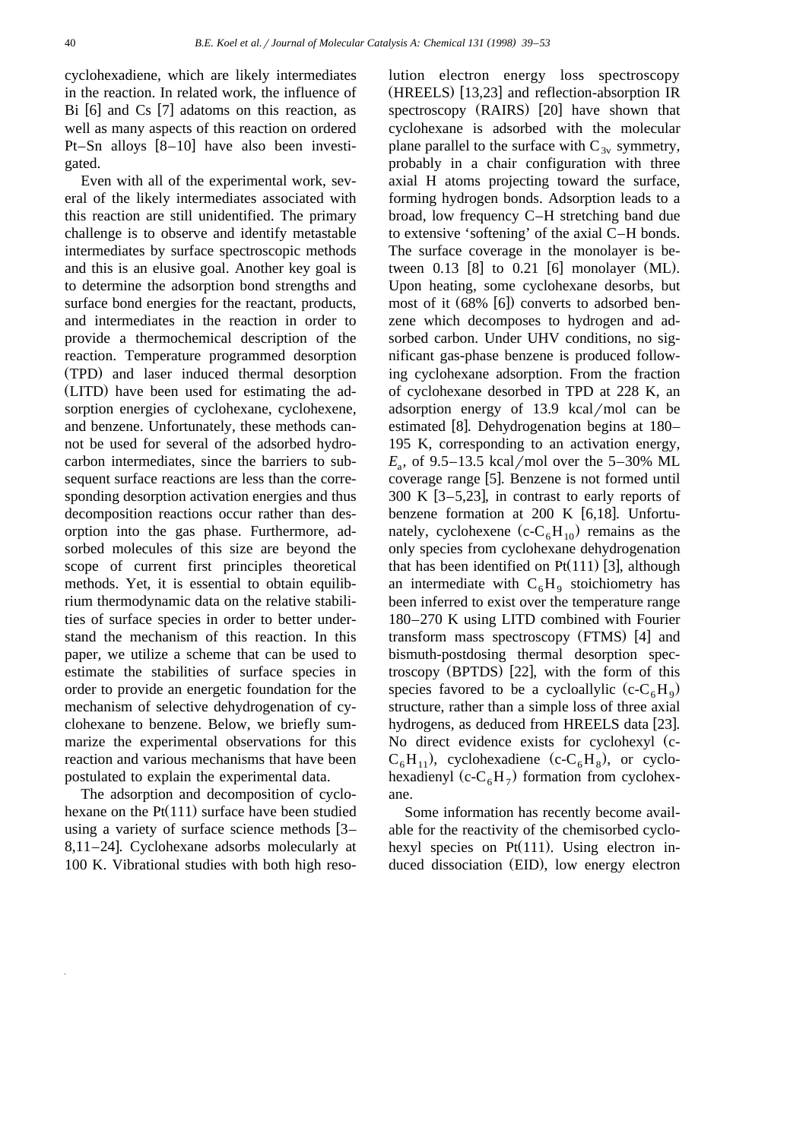cyclohexadiene, which are likely intermediates in the reaction. In related work, the influence of Bi [6] and Cs [7] adatoms on this reaction, as well as many aspects of this reaction on ordered Pt–Sn alloys  $[8-10]$  have also been investigated.

Even with all of the experimental work, several of the likely intermediates associated with this reaction are still unidentified. The primary challenge is to observe and identify metastable intermediates by surface spectroscopic methods and this is an elusive goal. Another key goal is to determine the adsorption bond strengths and surface bond energies for the reactant, products, and intermediates in the reaction in order to provide a thermochemical description of the reaction. Temperature programmed desorption (TPD) and laser induced thermal desorption (LITD) have been used for estimating the adsorption energies of cyclohexane, cyclohexene, and benzene. Unfortunately, these methods cannot be used for several of the adsorbed hydrocarbon intermediates, since the barriers to subsequent surface reactions are less than the corresponding desorption activation energies and thus decomposition reactions occur rather than desorption into the gas phase. Furthermore, adsorbed molecules of this size are beyond the scope of current first principles theoretical methods. Yet, it is essential to obtain equilibrium thermodynamic data on the relative stabilities of surface species in order to better understand the mechanism of this reaction. In this paper, we utilize a scheme that can be used to estimate the stabilities of surface species in order to provide an energetic foundation for the mechanism of selective dehydrogenation of cyclohexane to benzene. Below, we briefly summarize the experimental observations for this reaction and various mechanisms that have been postulated to explain the experimental data.

The adsorption and decomposition of cyclohexane on the  $Pt(111)$  surface have been studied using a variety of surface science methods  $[3 -$ 8,11–24. Cyclohexane adsorbs molecularly at 100 K. Vibrational studies with both high reso-

lution electron energy loss spectroscopy  $(HREELS)$  [13,23] and reflection-absorption IR spectroscopy (RAIRS) [20] have shown that cyclohexane is adsorbed with the molecular plane parallel to the surface with  $C_{3v}$  symmetry, probably in a chair configuration with three axial H atoms projecting toward the surface, forming hydrogen bonds. Adsorption leads to a broad, low frequency C–H stretching band due to extensive 'softening' of the axial C–H bonds. The surface coverage in the monolayer is between  $0.13$  [8] to  $0.21$  [6] monolayer (ML). Upon heating, some cyclohexane desorbs, but most of it  $(68\% \; [6])$  converts to adsorbed benzene which decomposes to hydrogen and adsorbed carbon. Under UHV conditions, no significant gas-phase benzene is produced following cyclohexane adsorption. From the fraction of cyclohexane desorbed in TPD at 228 K, an adsorption energy of  $13.9$  kcal/mol can be estimated [8]. Dehydrogenation begins at  $180-$ 195 K, corresponding to an activation energy,  $E_a$ , of 9.5–13.5 kcal/mol over the 5–30% ML coverage range [5]. Benzene is not formed until 300 K  $[3-5,23]$ , in contrast to early reports of benzene formation at 200 K  $[6,18]$ . Unfortunately, cyclohexene  $(c-C_6H_{10})$  remains as the only species from cyclohexane dehydrogenation that has been identified on  $Pt(111)$  [3], although an intermediate with  $C_6H_9$  stoichiometry has been inferred to exist over the temperature range 180–270 K using LITD combined with Fourier transform mass spectroscopy  $(FTMS)$  [4] and bismuth-postdosing thermal desorption spectroscopy (BPTDS)  $[22]$ , with the form of this species favored to be a cycloallylic  $(c-C<sub>6</sub>H<sub>9</sub>)$ structure, rather than a simple loss of three axial hydrogens, as deduced from HREELS data [23]. No direct evidence exists for cyclohexyl (c- $C_6H_{11}$ , cyclohexadiene (c- $C_6H_8$ ), or cyclohexadienyl (c- $C_6H_7$ ) formation from cyclohexane.

Some information has recently become available for the reactivity of the chemisorbed cyclohexyl species on  $Pt(111)$ . Using electron induced dissociation (EID), low energy electron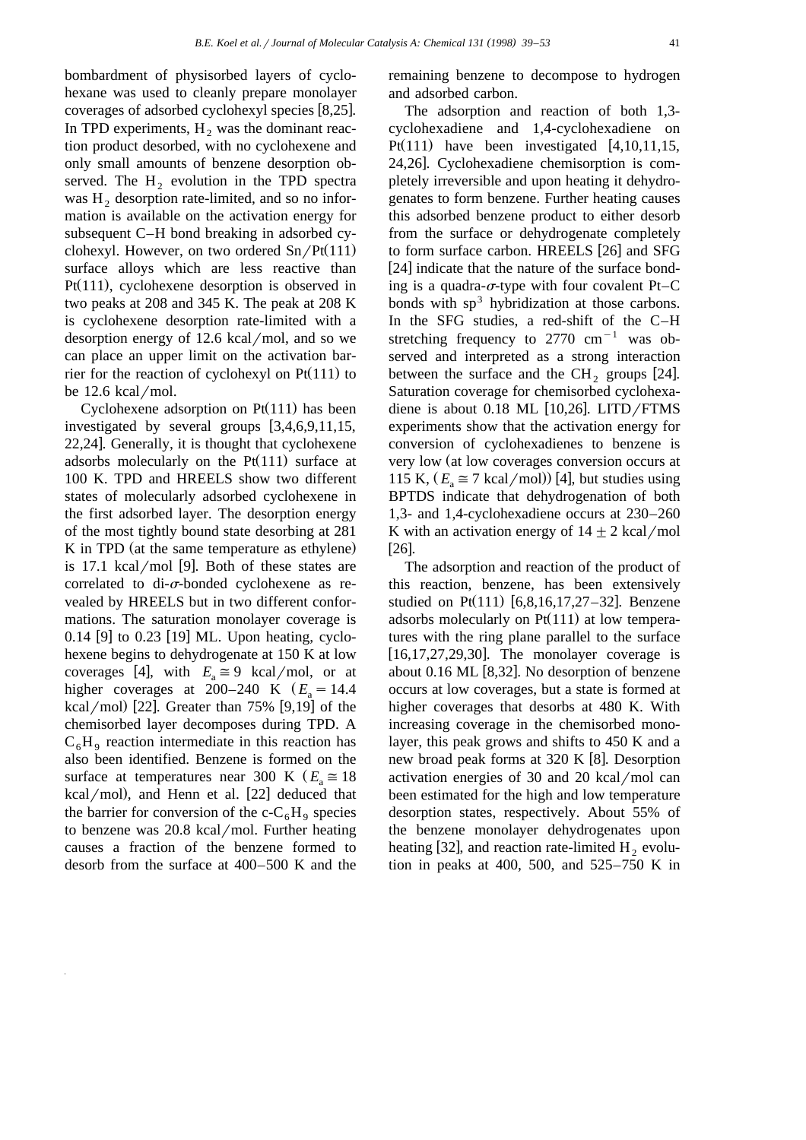bombardment of physisorbed layers of cyclohexane was used to cleanly prepare monolayer coverages of adsorbed cyclohexyl species [8,25]. In TPD experiments,  $H_2$  was the dominant reaction product desorbed, with no cyclohexene and only small amounts of benzene desorption observed. The  $H_2$  evolution in the TPD spectra was  $H_2$  desorption rate-limited, and so no information is available on the activation energy for subsequent C–H bond breaking in adsorbed cyclohexyl. However, on two ordered  $Sn/Pt(111)$ surface alloys which are less reactive than  $Pt(111)$ , cyclohexene desorption is observed in two peaks at 208 and 345 K. The peak at 208 K is cyclohexene desorption rate-limited with a desorption energy of  $12.6$  kcal/mol, and so we can place an upper limit on the activation barrier for the reaction of cyclohexyl on  $Pt(111)$  to be  $12.6$  kcal/mol.

Cyclohexene adsorption on  $Pt(111)$  has been investigated by several groups  $[3,4,6,9,11,15]$ ,  $22,24$ . Generally, it is thought that cyclohexene adsorbs molecularly on the  $Pt(111)$  surface at 100 K. TPD and HREELS show two different states of molecularly adsorbed cyclohexene in the first adsorbed layer. The desorption energy of the most tightly bound state desorbing at 281 K in TPD (at the same temperature as ethylene) is 17.1 kcal/mol [9]. Both of these states are correlated to di- $\sigma$ -bonded cyclohexene as revealed by HREELS but in two different conformations. The saturation monolayer coverage is  $0.14$  [9] to  $0.23$  [19] ML. Upon heating, cyclohexene begins to dehydrogenate at 150 K at low coverages [4], with  $E_a \cong 9$  kcal/mol, or at higher coverages at 200–240 K  $(E_a = 14.4$ kcal/mol) [22]. Greater than  $75\%$  [9,19] of the chemisorbed layer decomposes during TPD. A  $C_6H_9$  reaction intermediate in this reaction has also been identified. Benzene is formed on the surface at temperatures near 300 K ( $E_a \approx 18$ )  $kcal/mol$ , and Henn et al. [22] deduced that the barrier for conversion of the  $c - C_6 H_9$  species to benzene was  $20.8$  kcal/mol. Further heating causes a fraction of the benzene formed to desorb from the surface at 400–500 K and the remaining benzene to decompose to hydrogen and adsorbed carbon.

The adsorption and reaction of both 1,3 cyclohexadiene and 1,4-cyclohexadiene on Pt $(111)$  have been investigated [4,10,11,15,] 24,26. Cyclohexadiene chemisorption is completely irreversible and upon heating it dehydrogenates to form benzene. Further heating causes this adsorbed benzene product to either desorb from the surface or dehydrogenate completely to form surface carbon. HREELS [26] and SFG  $[24]$  indicate that the nature of the surface bonding is a quadra- $\sigma$ -type with four covalent Pt–C bonds with  $sp<sup>3</sup>$  hybridization at those carbons. In the SFG studies, a red-shift of the C–H stretching frequency to  $2770 \text{ cm}^{-1}$  was observed and interpreted as a strong interaction between the surface and the  $CH_2$  groups [24]. Saturation coverage for chemisorbed cyclohexadiene is about  $0.18$  ML  $[10,26]$ . LITD/FTMS experiments show that the activation energy for conversion of cyclohexadienes to benzene is very low (at low coverages conversion occurs at 115 K,  $(E_{\alpha} \cong 7 \text{ kcal/mol})$  [4], but studies using BPTDS indicate that dehydrogenation of both 1,3- and 1,4-cyclohexadiene occurs at 230–260 K with an activation energy of  $14 \pm 2$  kcal/mol  $[26]$ .

The adsorption and reaction of the product of this reaction, benzene, has been extensively studied on Pt $(111)$  [6,8,16,17,27–32]. Benzene adsorbs molecularly on  $Pt(111)$  at low temperatures with the ring plane parallel to the surface  $[16, 17, 27, 29, 30]$ . The monolayer coverage is about  $0.16$  ML [8,32]. No desorption of benzene occurs at low coverages, but a state is formed at higher coverages that desorbs at 480 K. With increasing coverage in the chemisorbed monolayer, this peak grows and shifts to 450 K and a new broad peak forms at  $320 \text{ K}$  [8]. Desorption activation energies of 30 and 20 kcal/mol can been estimated for the high and low temperature desorption states, respectively. About 55% of the benzene monolayer dehydrogenates upon heating [32], and reaction rate-limited  $H_2$  evolution in peaks at 400, 500, and  $525-750$  K in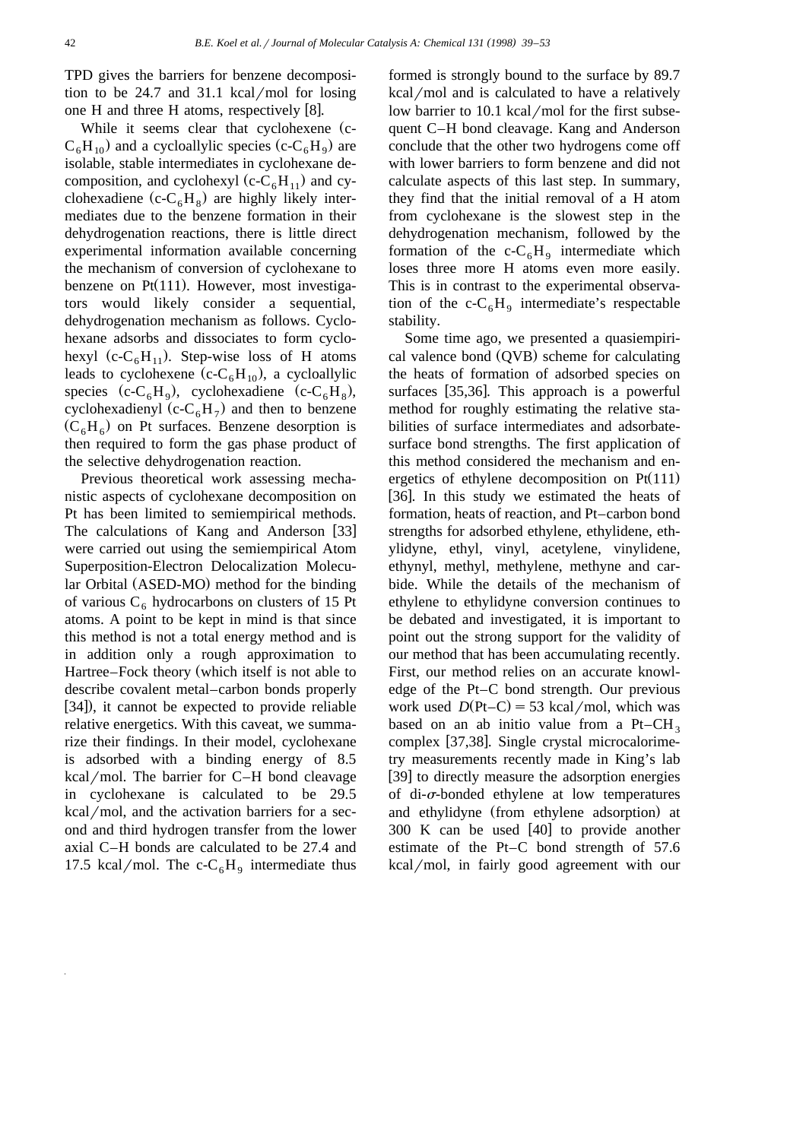TPD gives the barriers for benzene decomposition to be  $24.7$  and  $31.1$  kcal/mol for losing one H and three H atoms, respectively  $[8]$ .

While it seems clear that cyclohexene (c- $C_6H_{10}$ ) and a cycloallylic species (c-C<sub>6</sub>H<sub>0</sub>) are isolable, stable intermediates in cyclohexane decomposition, and cyclohexyl (c- $C_6H_{11}$ ) and cyclohexadiene (c- $C_6H_8$ ) are highly likely intermediates due to the benzene formation in their dehydrogenation reactions, there is little direct experimental information available concerning the mechanism of conversion of cyclohexane to benzene on  $Pt(111)$ . However, most investigators would likely consider a sequential, dehydrogenation mechanism as follows. Cyclohexane adsorbs and dissociates to form cyclohexyl (c-C<sub>6</sub>H<sub>11</sub>). Step-wise loss of H atoms leads to cyclohexene (c- $C_6H_{10}$ ), a cycloallylic species (c-C<sub>6</sub>H<sub>9</sub>), cyclohexadiene (c-C<sub>6</sub>H<sub>8</sub>), cyclohexadienyl (c- $C_6H_7$ ) and then to benzene  $(C_6H_6)$  on Pt surfaces. Benzene desorption is then required to form the gas phase product of the selective dehydrogenation reaction.

Previous theoretical work assessing mechanistic aspects of cyclohexane decomposition on Pt has been limited to semiempirical methods. The calculations of Kang and Anderson [33] were carried out using the semiempirical Atom Superposition-Electron Delocalization Molecular Orbital (ASED-MO) method for the binding of various  $C_6$  hydrocarbons on clusters of 15 Pt atoms. A point to be kept in mind is that since this method is not a total energy method and is in addition only a rough approximation to Hartree–Fock theory (which itself is not able to describe covalent metal–carbon bonds properly  $[34]$ ), it cannot be expected to provide reliable relative energetics. With this caveat, we summarize their findings. In their model, cyclohexane is adsorbed with a binding energy of 8.5  $kcal/mol$ . The barrier for C–H bond cleavage in cyclohexane is calculated to be 29.5  $kcal/mol$ , and the activation barriers for a second and third hydrogen transfer from the lower axial C–H bonds are calculated to be 27.4 and 17.5 kcal/mol. The c-C<sub>6</sub>H<sub>9</sub> intermediate thus

formed is strongly bound to the surface by 89.7  $kcal/mol$  and is calculated to have a relatively low barrier to 10.1 kcal/mol for the first subsequent C–H bond cleavage. Kang and Anderson conclude that the other two hydrogens come off with lower barriers to form benzene and did not calculate aspects of this last step. In summary, they find that the initial removal of a H atom from cyclohexane is the slowest step in the dehydrogenation mechanism, followed by the formation of the  $c - C_6 H_9$  intermediate which loses three more H atoms even more easily. This is in contrast to the experimental observation of the  $c - C_6 H_9$  intermediate's respectable stability.

Some time ago, we presented a quasiempirical valence bond (QVB) scheme for calculating the heats of formation of adsorbed species on surfaces  $[35,36]$ . This approach is a powerful method for roughly estimating the relative stabilities of surface intermediates and adsorbatesurface bond strengths. The first application of this method considered the mechanism and energetics of ethylene decomposition on  $Pt(111)$  $[36]$ . In this study we estimated the heats of formation, heats of reaction, and Pt–carbon bond strengths for adsorbed ethylene, ethylidene, ethylidyne, ethyl, vinyl, acetylene, vinylidene, ethynyl, methyl, methylene, methyne and carbide. While the details of the mechanism of ethylene to ethylidyne conversion continues to be debated and investigated, it is important to point out the strong support for the validity of our method that has been accumulating recently. First, our method relies on an accurate knowledge of the Pt–C bond strength. Our previous work used  $D(Pt-C) = 53$  kcal/mol, which was based on an ab initio value from a  $Pt-CH_3$ complex [37,38]. Single crystal microcalorimetry measurements recently made in King's lab  $\overline{[39]}$  to directly measure the adsorption energies of di- $\sigma$ -bonded ethylene at low temperatures and ethylidyne (from ethylene adsorption) at  $300 \text{ K}$  can be used  $[40]$  to provide another estimate of the Pt–C bond strength of 57.6  $kcal/mol$ , in fairly good agreement with our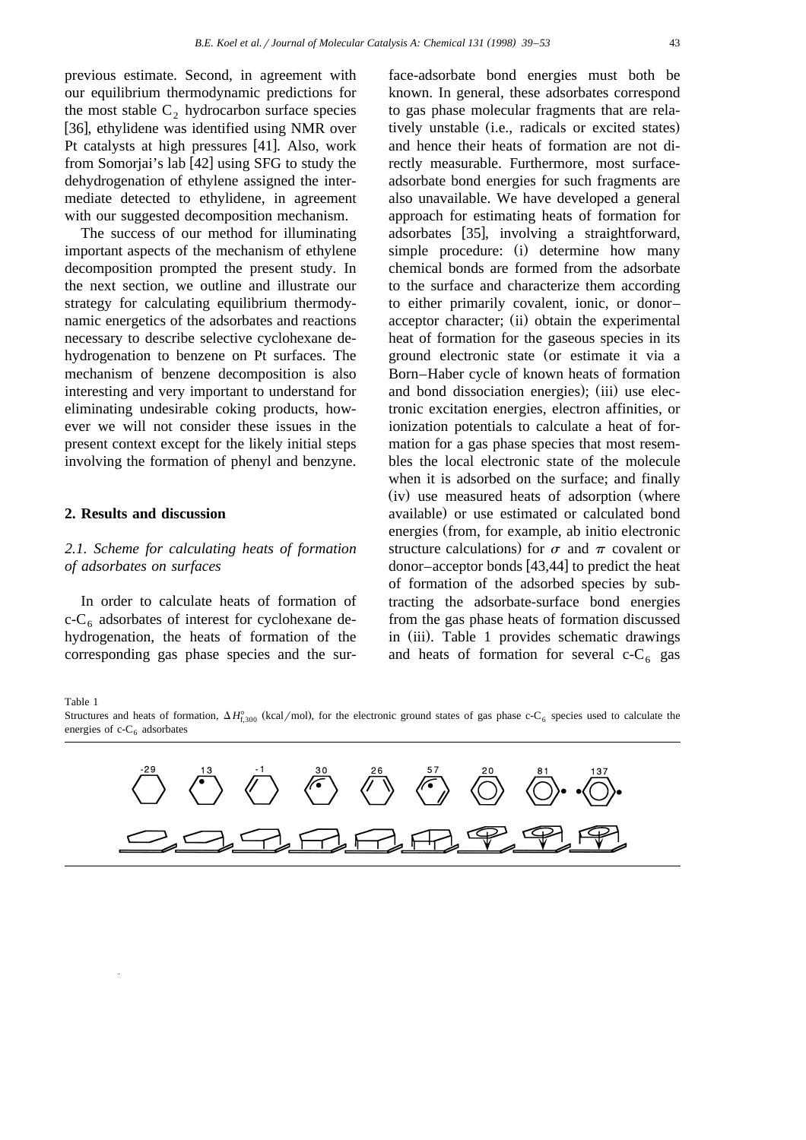previous estimate. Second, in agreement with our equilibrium thermodynamic predictions for the most stable  $C_2$  hydrocarbon surface species [36], ethylidene was identified using NMR over Pt catalysts at high pressures [41]. Also, work from Somorjai's lab [42] using SFG to study the dehydrogenation of ethylene assigned the intermediate detected to ethylidene, in agreement with our suggested decomposition mechanism.

The success of our method for illuminating important aspects of the mechanism of ethylene decomposition prompted the present study. In the next section, we outline and illustrate our strategy for calculating equilibrium thermodynamic energetics of the adsorbates and reactions necessary to describe selective cyclohexane dehydrogenation to benzene on Pt surfaces. The mechanism of benzene decomposition is also interesting and very important to understand for eliminating undesirable coking products, however we will not consider these issues in the present context except for the likely initial steps involving the formation of phenyl and benzyne.

#### **2. Results and discussion**

## *2.1. Scheme for calculating heats of formation of adsorbates on surfaces*

In order to calculate heats of formation of  $c$ -C<sub>6</sub> adsorbates of interest for cyclohexane dehydrogenation, the heats of formation of the corresponding gas phase species and the sur-

face-adsorbate bond energies must both be known. In general, these adsorbates correspond to gas phase molecular fragments that are relatively unstable (i.e., radicals or excited states) and hence their heats of formation are not directly measurable. Furthermore, most surfaceadsorbate bond energies for such fragments are also unavailable. We have developed a general approach for estimating heats of formation for adsorbates [35], involving a straightforward, simple procedure: (i) determine how many chemical bonds are formed from the adsorbate to the surface and characterize them according to either primarily covalent, ionic, or donor– acceptor character; (ii) obtain the experimental heat of formation for the gaseous species in its ground electronic state (or estimate it via a Born–Haber cycle of known heats of formation and bond dissociation energies); (iii) use electronic excitation energies, electron affinities, or ionization potentials to calculate a heat of formation for a gas phase species that most resembles the local electronic state of the molecule when it is adsorbed on the surface; and finally (iv) use measured heats of adsorption (where available) or use estimated or calculated bond energies (from, for example, ab initio electronic structure calculations) for  $\sigma$  and  $\pi$  covalent or donor–acceptor bonds  $[43, 44]$  to predict the heat of formation of the adsorbed species by subtracting the adsorbate-surface bond energies from the gas phase heats of formation discussed in (iii). Table 1 provides schematic drawings and heats of formation for several  $c$ -C<sub>6</sub> gas

Table 1

Structures and heats of formation,  $\Delta H_{1,300}^{\circ}$  (kcal/mol), for the electronic ground states of gas phase c-C<sub>6</sub> species used to calculate the energies of  $c$ -C<sub>6</sub> adsorbates

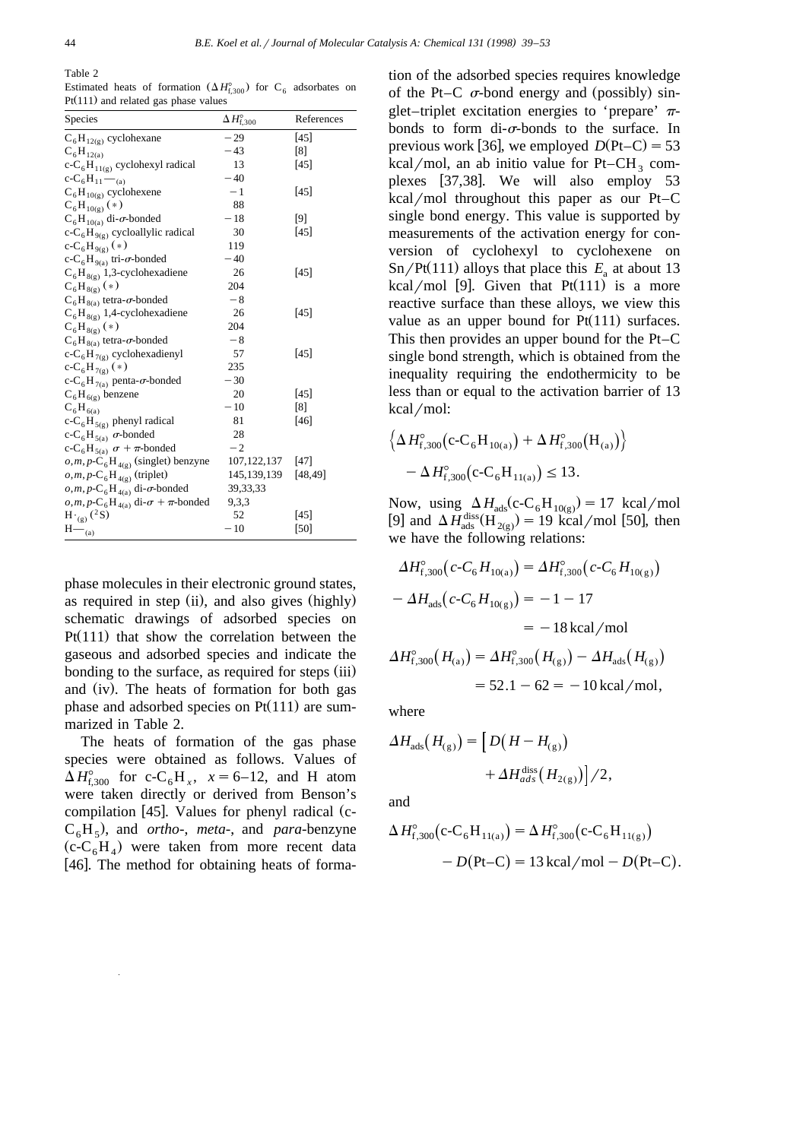Table 2

Estimated heats of formation  $(\Delta H_{f,300}^{\circ})$  for C<sub>6</sub> adsorbates on  $Pt(111)$  and related gas phase values

| Species                                                                            | $\Delta H_{\rm f,300}^{\circ}$ | References |
|------------------------------------------------------------------------------------|--------------------------------|------------|
| $C_6H_{12(g)}$ cyclohexane                                                         | $-29$                          | $[45]$     |
| $C_6H_{12(a)}$                                                                     | $-43$                          | [8]        |
| c- $C_6H_{11(g)}$ cyclohexyl radical                                               | 13                             | $[45]$     |
| $c - C_6H_{11}$ - (a)                                                              | $-40$                          |            |
| $C_6H_{10(g)}$ cyclohexene                                                         | $-1$                           | $[45]$     |
| $C_6H_{10(g)}(*)$                                                                  | 88                             |            |
| $C_6H_{10(a)}$ di- $\sigma$ -bonded                                                | $-18$                          | $[9]$      |
| $c$ -C <sub>6</sub> H <sub>9(g)</sub> cycloallylic radical                         | 30                             | $[45]$     |
| c-C <sub>6</sub> H <sub>9(g)</sub> (*)                                             | 119                            |            |
| c-C <sub>6</sub> H <sub>9(a)</sub> tri- $\sigma$ -bonded                           | $-40$                          |            |
| $C_6H_{8(g)}$ 1,3-cyclohexadiene                                                   | 26                             | $[45]$     |
| $C_6H_{8(g)}(*)$                                                                   | 204                            |            |
| $C_6H_{8(a)}$ tetra- $\sigma$ -bonded                                              | $-8$                           |            |
| $C_6H_{8(g)}$ 1,4-cyclohexadiene                                                   | 26                             | $[45]$     |
| $C_6H_{8(g)}(*)$                                                                   | 204                            |            |
| $C_6H_{8(a)}$ tetra- $\sigma$ -bonded                                              | $-8$                           |            |
| c-C <sub>6</sub> H <sub>7(g)</sub> cyclohexadienyl                                 | 57                             | $[45]$     |
| c-C <sub>6</sub> H <sub>7(g)</sub> (*)                                             | 235                            |            |
| c-C <sub>6</sub> H <sub>7(a)</sub> penta- $\sigma$ -bonded                         | $-30$                          |            |
| $C_6H_{6(g)}$ benzene                                                              | 20                             | [45]       |
| $C_6H_{6(a)}$                                                                      | $-10$                          | [8]        |
| c-C <sub>6</sub> H <sub>5(g)</sub> phenyl radical                                  | 81                             | $[46]$     |
| c-C <sub>6</sub> H <sub>5(a)</sub> $\sigma$ -bonded                                | 28                             |            |
| c-C <sub>6</sub> H <sub>5(a)</sub> $\sigma$ + $\pi$ -bonded                        | $-2$                           |            |
| $o, m, p\text{-}C_6H_{4(g)}$ (singlet) benzyne                                     | 107, 122, 137                  | $[47]$     |
| $o, m, p\text{-C}_6\text{H}_{4(g)}$ (triplet)                                      | 145, 139, 139                  | [48, 49]   |
| $o, m, p\text{-}\mathrm{C}_6\mathrm{H}_{4(\mathrm{a})}$ di- $\sigma\text{-bonded}$ | 39, 33, 33                     |            |
| $o, m, p\text{-}C_6H_{4(a)}$ di- $\sigma + \pi$ -bonded                            | 9,3,3                          |            |
| $H_{(g)}^{\bullet}({}^2S)$                                                         | 52                             | $[45]$     |
| $\mathbf{H}{\longrightarrow}_{\mathbf{(a)}}$                                       | $-10$                          | $[50]$     |

phase molecules in their electronic ground states, as required in step (ii), and also gives (highly) schematic drawings of adsorbed species on  $Pt(111)$  that show the correlation between the gaseous and adsorbed species and indicate the bonding to the surface, as required for steps (iii) and (iv). The heats of formation for both gas phase and adsorbed species on  $Pt(111)$  are summarized in Table 2.

The heats of formation of the gas phase species were obtained as follows. Values of  $\Delta H_{f,300}^{\circ}$  for c-C<sub>6</sub>H<sub>x</sub>,  $x = 6-12$ , and H atom were taken directly or derived from Benson's compilation  $[45]$ . Values for phenyl radical (c- $C_6H_5$ , and *ortho-*, *meta-*, and *para-benzyne*  $(c-C<sub>6</sub>H<sub>4</sub>)$  were taken from more recent data  $[46]$ . The method for obtaining heats of formation of the adsorbed species requires knowledge of the Pt–C  $\sigma$ -bond energy and (possibly) singlet–triplet excitation energies to 'prepare'  $\pi$ bonds to form di- $\sigma$ -bonds to the surface. In previous work [36], we employed  $D(Pt-C) = 53$ kcal/mol, an ab initio value for  $Pt-CH_3$  complexes  $[37,38]$ . We will also employ 53  $kcal/mol$  throughout this paper as our Pt–C single bond energy. This value is supported by measurements of the activation energy for conversion of cyclohexyl to cyclohexene on  $Sn/Pt(111)$  alloys that place this  $E_a$  at about 13 kcal/mol [9]. Given that  $Pt(111)$  is a more reactive surface than these alloys, we view this value as an upper bound for  $Pt(111)$  surfaces. This then provides an upper bound for the Pt–C single bond strength, which is obtained from the inequality requiring the endothermicity to be less than or equal to the activation barrier of 13 kcal/mol:

$$
\left\{ \Delta H_{f,300}^{\circ} \left( c \text{-} C_6 H_{10(a)} \right) + \Delta H_{f,300}^{\circ} \left( H_{(a)} \right) \right\} - \Delta H_{f,300}^{\circ} \left( c \text{-} C_6 H_{11(a)} \right) \le 13.
$$

Now, using  $\Delta H_{ads}(c-C_6H_{10(g)}) = 17$  kcal/mol [9] and  $\Delta H_{ads}^{diss}(H_{2(g)}) = 19$  kcal/mol [50], then we have the following relations:

$$
\Delta H_{f,300}^{\circ}(c \text{-} C_6 H_{10(a)}) = \Delta H_{f,300}^{\circ}(c \text{-} C_6 H_{10(g)})
$$

$$
-\Delta H_{ads}(c \text{-} C_6 H_{10(g)}) = -1 - 17
$$

$$
= -18 \text{ kcal/mol}
$$

$$
\Delta H_{\rm f,300}^{\circ}(H_{\rm (a)}) = \Delta H_{\rm f,300}^{\circ}(H_{\rm (g)}) - \Delta H_{\rm ads}(H_{\rm (g)})
$$
  
= 52.1 - 62 = -10 kcal/mol,

where

$$
\Delta H_{\text{ads}}(H_{(g)}) = \left[ D\left(H - H_{(g)}\right) + \Delta H_{ads}^{\text{diss}}\left(H_{2(g)}\right) \right] / 2,
$$

and

$$
\Delta H_{f,300}^{\circ} (c \text{-} C_6 H_{11(a)}) = \Delta H_{f,300}^{\circ} (c \text{-} C_6 H_{11(g)}) - D(\text{Pt}-\text{C}) = 13 \text{ kcal/mol} - D(\text{Pt}-\text{C}).
$$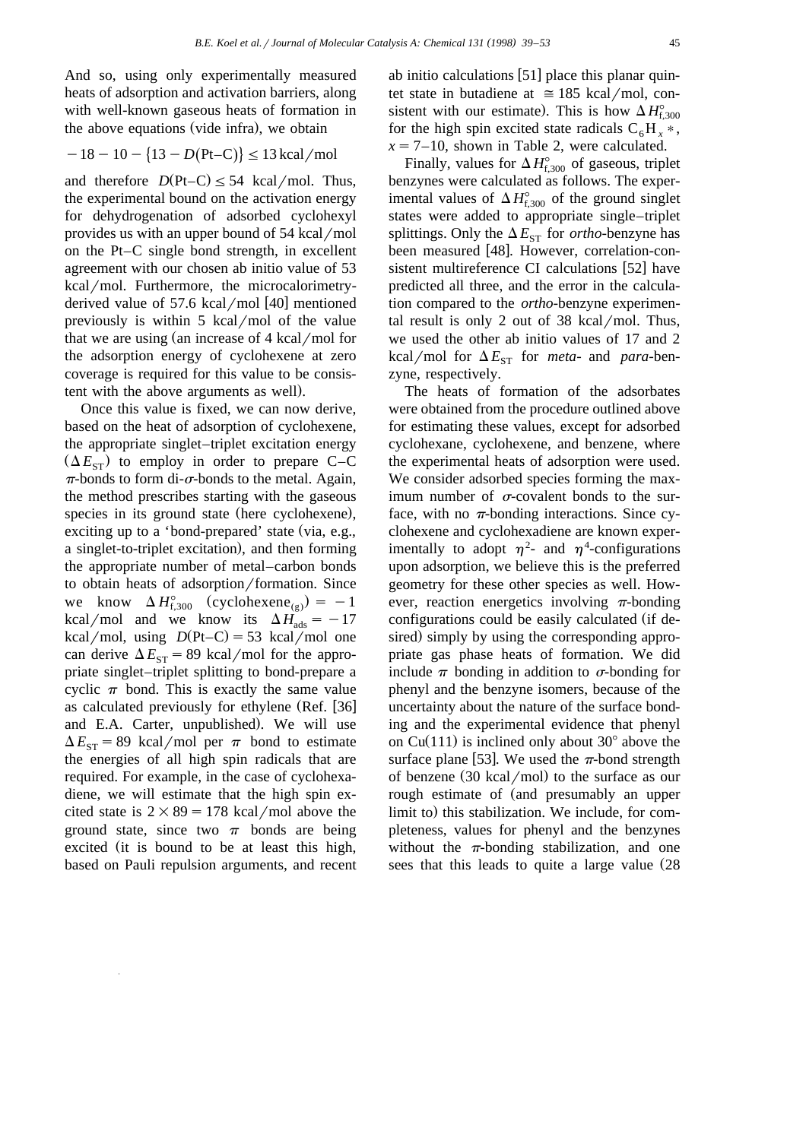And so, using only experimentally measured heats of adsorption and activation barriers, along with well-known gaseous heats of formation in the above equations (vide infra), we obtain

$$
-18 - 10 - \{13 - D(Pt-C)\} \le 13 \text{ kcal/mol}
$$

and therefore  $D(Pt-C) \leq 54$  kcal/mol. Thus, the experimental bound on the activation energy for dehydrogenation of adsorbed cyclohexyl provides us with an upper bound of  $54$  kcal/mol on the Pt–C single bond strength, in excellent agreement with our chosen ab initio value of 53 kcal/mol. Furthermore, the microcalorimetryderived value of  $57.6$  kcal/mol  $[40]$  mentioned previously is within  $5 \text{ kcal/mol}$  of the value that we are using (an increase of  $4 \text{ kcal/mol}$  for the adsorption energy of cyclohexene at zero coverage is required for this value to be consistent with the above arguments as well).

Once this value is fixed, we can now derive, based on the heat of adsorption of cyclohexene, the appropriate singlet–triplet excitation energy  $(\Delta E_{ST})$  to employ in order to prepare C–C  $\pi$ -bonds to form di- $\sigma$ -bonds to the metal. Again, the method prescribes starting with the gaseous species in its ground state (here cyclohexene), exciting up to a 'bond-prepared' state (via, e.g., a singlet-to-triplet excitation), and then forming the appropriate number of metal–carbon bonds to obtain heats of adsorption/formation. Since we know  $\Delta H_{f,300}^{\circ}$  (cyclohexene<sub>(g)</sub>) = -1 kcal/mol and we know its  $\Delta H_{\text{ads}} = -17$ kcal/mol, using  $D(Pt-C) = 53$  kcal/mol one can derive  $\Delta E_{\text{ST}} = 89$  kcal/mol for the appropriate singlet–triplet splitting to bond-prepare a cyclic  $\pi$  bond. This is exactly the same value as calculated previously for ethylene  $(Ref. [36]$ and E.A. Carter, unpublished). We will use  $\Delta E_{\rm ST}$  = 89 kcal/mol per  $\pi$  bond to estimate the energies of all high spin radicals that are required. For example, in the case of cyclohexadiene, we will estimate that the high spin excited state is  $2\times89=178$  kcal/mol above the ground state, since two  $\pi$  bonds are being excited (it is bound to be at least this high, based on Pauli repulsion arguments, and recent ab initio calculations  $[51]$  place this planar quintet state in butadiene at  $\approx 185$  kcal/mol, consistent with our estimate). This is how  $\Delta H_{\rm f,300}^{\circ}$ for the high spin excited state radicals  $C_6H_*$ ,  $*$ ,  $x = 7-10$ , shown in Table 2, were calculated.

Finally, values for  $\Delta H_{\rm f,300}^{\circ}$  of gaseous, triplet benzynes were calculated as follows. The experimental values of  $\Delta H_{1,300}^{\circ}$  of the ground singlet states were added to appropriate single–triplet splittings. Only the  $\Delta E_{ST}$  for *ortho*-benzyne has been measured [48]. However, correlation-consistent multireference CI calculations [52] have predicted all three, and the error in the calculation compared to the *ortho*-benzyne experimental result is only 2 out of 38 kcal/mol. Thus, we used the other ab initio values of 17 and 2 kcal/mol for  $\Delta E_{ST}$  for *meta*- and *para*-benzyne, respectively.

The heats of formation of the adsorbates were obtained from the procedure outlined above for estimating these values, except for adsorbed cyclohexane, cyclohexene, and benzene, where the experimental heats of adsorption were used. We consider adsorbed species forming the maximum number of  $\sigma$ -covalent bonds to the surface, with no  $\pi$ -bonding interactions. Since cyclohexene and cyclohexadiene are known experimentally to adopt  $\eta^2$ - and  $\eta^4$ -configurations upon adsorption, we believe this is the preferred geometry for these other species as well. However, reaction energetics involving  $\pi$ -bonding configurations could be easily calculated (if desired) simply by using the corresponding appropriate gas phase heats of formation. We did include  $\pi$  bonding in addition to  $\sigma$ -bonding for phenyl and the benzyne isomers, because of the uncertainty about the nature of the surface bonding and the experimental evidence that phenyl on Cu(111) is inclined only about  $30^{\circ}$  above the surface plane [53]. We used the  $\pi$ -bond strength of benzene  $(30 \text{ kcal/mol})$  to the surface as our rough estimate of (and presumably an upper limit to) this stabilization. We include, for completeness, values for phenyl and the benzynes without the  $\pi$ -bonding stabilization, and one sees that this leads to quite a large value (28)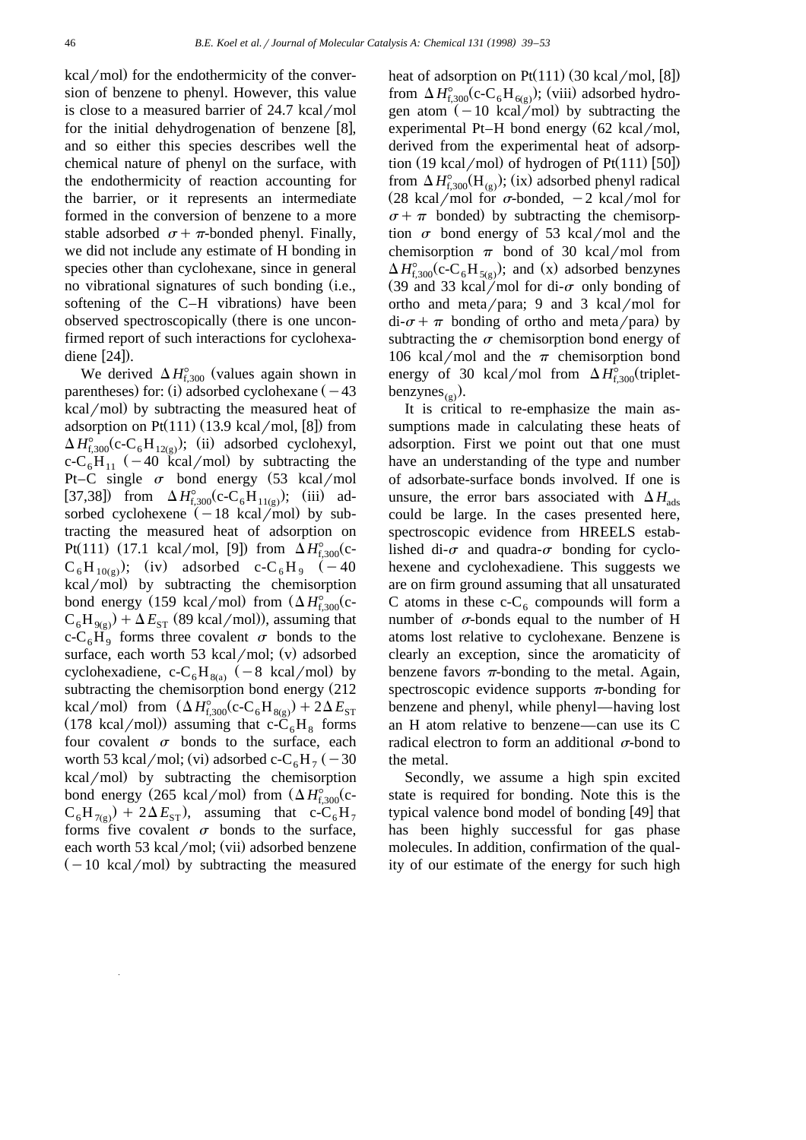$kcal/mol$  for the endothermicity of the conversion of benzene to phenyl. However, this value is close to a measured barrier of  $24.7$  kcal/mol for the initial dehydrogenation of benzene  $[8]$ , and so either this species describes well the chemical nature of phenyl on the surface, with the endothermicity of reaction accounting for the barrier, or it represents an intermediate formed in the conversion of benzene to a more stable adsorbed  $\sigma + \pi$ -bonded phenyl. Finally, we did not include any estimate of H bonding in species other than cyclohexane, since in general no vibrational signatures of such bonding (i.e., softening of the C–H vibrations) have been observed spectroscopically (there is one unconfirmed report of such interactions for cyclohexadiene  $[24]$ .

We derived  $\Delta H_{\text{f,300}}^{\circ}$  (values again shown in parentheses) for: (i) adsorbed cyclohexane  $(-43)$  $kcal/mol$  by subtracting the measured heat of adsorption on  $Pt(111)$  (13.9 kcal/mol, [8]) from  $\Delta H_{f,300}^{\circ}$ (c-C<sub>6</sub>H<sub>12(g)</sub>); (ii) adsorbed cyclohexyl, c-C<sub>6</sub>H<sub>11</sub> (-40 kcal/mol) by subtracting the Pt–C single  $\sigma$  bond energy (53 kcal/mol [37,38]) from  $\Delta H_{\rm f,300}^{\circ}$  (c-C<sub>6</sub>H<sub>11(g)</sub>); (iii) adsorbed cyclohexene  $(-18 \text{ kcal/mol})$  by subtracting the measured heat of adsorption on Pt(111) (17.1 kcal/mol, [9]) from  $\Delta H_{6,300}^{\circ}$  (c- $C_6H_{10(g)}$ ; (iv) adsorbed c-C<sub>6</sub>H<sub>9</sub> (-40  $kcal/mol$  by subtracting the chemisorption bond energy (159 kcal/mol) from  $(\Delta H_{f,300}^{\circ}$  (c- $C_6H_{9(g)}$  +  $\Delta E_{ST}$  (89 kcal/mol)), assuming that c-C<sub>6</sub>H<sub>9</sub> forms three covalent  $\sigma$  bonds to the surface, each worth 53 kcal/mol; (v) adsorbed cyclohexadiene, c-C<sub>6</sub>H<sub>8(a)</sub> (-8 kcal/mol) by subtracting the chemisorption bond energy (212 kcal/mol) from  $(\Delta H_{f,300}^{\circ}$ (c-C<sub>6</sub>H<sub>8(g)</sub>) +  $2\Delta E_{ST}$ (178 kcal/mol)) assuming that  $c-\widetilde{C}_6H_8$  forms four covalent  $\sigma$  bonds to the surface, each worth 53 kcal/mol; (vi) adsorbed c-C<sub>6</sub>H<sub>7</sub> ( $-30$  $kcal/mol$  by subtracting the chemisorption bond energy (265 kcal/mol) from  $(\Delta H_{\rm f,300}^{\circ}$  (c- $C_6H_{7(g)}$ ) + 2 $\Delta E_{ST}$ ), assuming that c-C<sub>6</sub>H<sub>7</sub> forms five covalent  $\sigma$  bonds to the surface, each worth 53 kcal/mol; (vii) adsorbed benzene  $(-10 \text{ kcal/mol})$  by subtracting the measured

heat of adsorption on  $Pt(111)$  (30 kcal/mol, [8]) from  $\Delta H_{f,300}^{\circ}$ (c-C<sub>6</sub>H<sub>6(g)</sub>); (viii) adsorbed hydrogen atom  $(-10 \text{ kcal/mol})$  by subtracting the experimental Pt–H bond energy  $(62 \text{ kcal/mol})$ , derived from the experimental heat of adsorption  $(19 \text{ kcal/mol})$  of hydrogen of Pt $(111)$  [50]) from  $\Delta H_{\rm f,300}^{\circ}(\rm H_{\alpha})$ ; (ix) adsorbed phenyl radical  $(28 \text{ kcal/mol}$  for  $\sigma$ -bonded,  $-2 \text{ kcal/mol}$  for  $\sigma + \pi$  bonded) by subtracting the chemisorption  $\sigma$  bond energy of 53 kcal/mol and the chemisorption  $\pi$  bond of 30 kcal/mol from  $\Delta H_{6,300}^{\circ}$ (c-C<sub>6</sub>H<sub>5(g)</sub>); and (x) adsorbed benzynes (39 and 33 kcal/mol for di- $\sigma$  only bonding of ortho and meta/para; 9 and 3 kcal/mol for  $di-\sigma+\pi$  bonding of ortho and meta/para) by subtracting the  $\sigma$  chemisorption bond energy of 106 kcal/mol and the  $\pi$  chemisorption bond energy of 30 kcal/mol from  $\Delta H_{\rm f,300}^{\circ}$  (tripletbenzynes $_{(9)}$ ).

It is critical to re-emphasize the main assumptions made in calculating these heats of adsorption. First we point out that one must have an understanding of the type and number of adsorbate-surface bonds involved. If one is unsure, the error bars associated with  $\Delta H_{\text{ads}}$ could be large. In the cases presented here, spectroscopic evidence from HREELS established di- $\sigma$  and quadra- $\sigma$  bonding for cyclohexene and cyclohexadiene. This suggests we are on firm ground assuming that all unsaturated C atoms in these  $c$ -C<sub>6</sub> compounds will form a number of  $\sigma$ -bonds equal to the number of H atoms lost relative to cyclohexane. Benzene is clearly an exception, since the aromaticity of benzene favors  $\pi$ -bonding to the metal. Again, spectroscopic evidence supports  $\pi$ -bonding for benzene and phenyl, while phenyl—having lost an H atom relative to benzene—can use its C radical electron to form an additional  $\sigma$ -bond to the metal.

Secondly, we assume a high spin excited state is required for bonding. Note this is the typical valence bond model of bonding  $[49]$  that has been highly successful for gas phase molecules. In addition, confirmation of the quality of our estimate of the energy for such high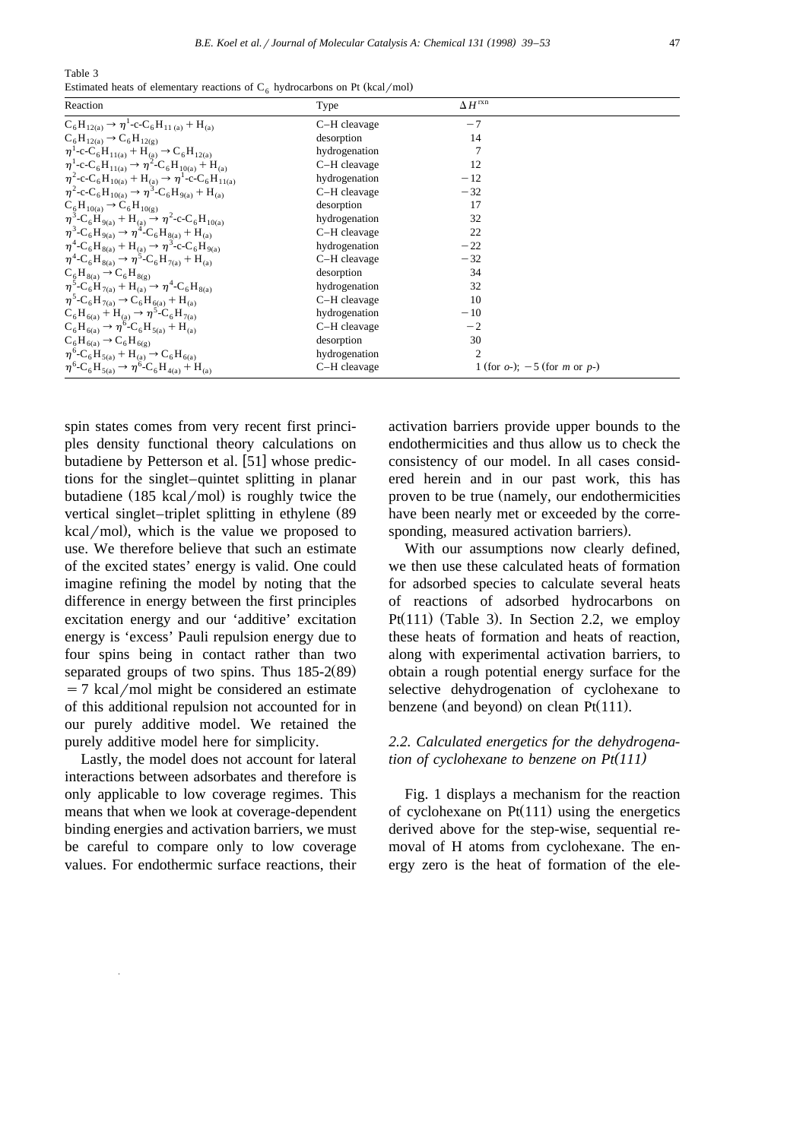Table 3 Estimated heats of elementary reactions of  $C_6$  hydrocarbons on Pt (kcal/mol)

| Reaction                                                                                                                   | Type          | $\Delta H^{\rm rxn}$                      |
|----------------------------------------------------------------------------------------------------------------------------|---------------|-------------------------------------------|
| $C_6H_{12(a)} \rightarrow \eta^1$ -c-C <sub>6</sub> H <sub>11(a)</sub> + H <sub>(a)</sub>                                  | C-H cleavage  | $-7$                                      |
| $C_6H_{12(a)} \to C_6H_{12(g)}$                                                                                            | desorption    | 14                                        |
| $\eta^1$ -c-C <sub>6</sub> H <sub>11(a)</sub> + H <sub>(a)</sub> $\rightarrow$ C <sub>6</sub> H <sub>12(a)</sub>           | hydrogenation | 7                                         |
| $\eta^1$ -c-C <sub>6</sub> H <sub>11(a)</sub> $\rightarrow \eta^2$ -C <sub>6</sub> H <sub>10(a)</sub> + H <sub>(a)</sub>   | C-H cleavage  | 12                                        |
| $\eta^2$ -c-C <sub>6</sub> H <sub>10(a)</sub> + H <sub>(a)</sub> $\rightarrow \eta^1$ -c-C <sub>6</sub> H <sub>11(a)</sub> | hydrogenation | $-12$                                     |
| $\eta^2$ -c-C <sub>6</sub> H <sub>10(a)</sub> $\rightarrow \eta^3$ -C <sub>6</sub> H <sub>9(a)</sub> + H <sub>(a)</sub>    | C-H cleavage  | $-32$                                     |
| $C_6H_{10(a)} \to C_6H_{10(g)}$                                                                                            | desorption    | 17                                        |
| $\eta^3$ -C <sub>6</sub> H <sub>9(a)</sub> + H <sub>(a)</sub> $\rightarrow \eta^2$ -c-C <sub>6</sub> H <sub>10(a)</sub>    | hydrogenation | 32                                        |
| $\eta^3$ -C <sub>6</sub> H <sub>9(a)</sub> $\rightarrow \eta^4$ -C <sub>6</sub> H <sub>8(a)</sub> + H <sub>(a)</sub>       | C-H cleavage  | 22                                        |
| $\eta^4$ -C <sub>6</sub> H <sub>8(a)</sub> + H <sub>(a)</sub> → $\eta^3$ -c-C <sub>6</sub> H <sub>9(a)</sub>               | hydrogenation | $-22$                                     |
| $\eta^4$ -C <sub>6</sub> H <sub>8(a)</sub> $\rightarrow \eta^5$ -C <sub>6</sub> H <sub>7(a)</sub> + H <sub>(a)</sub>       | C-H cleavage  | $-32$                                     |
| $C_6H_{8(a)} \to C_6H_{8(g)}$                                                                                              | desorption    | 34                                        |
| $\eta^5$ -C <sub>6</sub> H <sub>7(a)</sub> + H <sub>(a)</sub> $\rightarrow \eta^4$ -C <sub>6</sub> H <sub>8(a)</sub>       | hydrogenation | 32                                        |
| $\eta^5$ -C <sub>6</sub> H <sub>7(a)</sub> $\rightarrow$ C <sub>6</sub> H <sub>6(a)</sub> + H <sub>(a)</sub>               | C-H cleavage  | 10                                        |
| $C_6H_{6(a)} + H_{(a)} \rightarrow \eta^5-C_6H_{7(a)}$                                                                     | hydrogenation | $-10$                                     |
| $C_6H_{6(a)} \to \eta^6-C_6H_{5(a)} + H_{(a)}$                                                                             | C-H cleavage  | $-2$                                      |
| $C_6H_{6(a)} \to C_6H_{6(g)}$                                                                                              | desorption    | 30                                        |
| $\eta^6$ -C <sub>6</sub> H <sub>5(a)</sub> + H <sub>(a)</sub> $\rightarrow$ C <sub>6</sub> H <sub>6(a)</sub>               | hydrogenation | $\overline{2}$                            |
| $\eta^6$ -C <sub>6</sub> H <sub>5(a)</sub> $\rightarrow \eta^6$ -C <sub>6</sub> H <sub>4(a)</sub> + H <sub>(a)</sub>       | C-H cleavage  | 1 (for $o$ -); -5 (for <i>m</i> or $p$ -) |

spin states comes from very recent first principles density functional theory calculations on butadiene by Petterson et al. [51] whose predictions for the singlet–quintet splitting in planar butadiene  $(185 \text{ kcal/mol})$  is roughly twice the vertical singlet–triplet splitting in ethylene (89  $kcal/mol$ , which is the value we proposed to use. We therefore believe that such an estimate of the excited states' energy is valid. One could imagine refining the model by noting that the difference in energy between the first principles excitation energy and our 'additive' excitation energy is 'excess' Pauli repulsion energy due to four spins being in contact rather than two separated groups of two spins. Thus  $185-2(89)$  $=7$  kcal/mol might be considered an estimate of this additional repulsion not accounted for in our purely additive model. We retained the purely additive model here for simplicity.

Lastly, the model does not account for lateral interactions between adsorbates and therefore is only applicable to low coverage regimes. This means that when we look at coverage-dependent binding energies and activation barriers, we must be careful to compare only to low coverage values. For endothermic surface reactions, their

activation barriers provide upper bounds to the endothermicities and thus allow us to check the consistency of our model. In all cases considered herein and in our past work, this has proven to be true (namely, our endothermicities have been nearly met or exceeded by the corresponding, measured activation barriers).

With our assumptions now clearly defined, we then use these calculated heats of formation for adsorbed species to calculate several heats of reactions of adsorbed hydrocarbons on Pt $(111)$  (Table 3). In Section 2.2, we employ these heats of formation and heats of reaction, along with experimental activation barriers, to obtain a rough potential energy surface for the selective dehydrogenation of cyclohexane to benzene (and beyond) on clean  $Pt(111)$ .

# *2.2. Calculated energetics for the dehydrogenation of cyclohexane to benzene on*  $Pt(111)$

Fig. 1 displays a mechanism for the reaction of cyclohexane on  $Pt(111)$  using the energetics derived above for the step-wise, sequential removal of H atoms from cyclohexane. The energy zero is the heat of formation of the ele-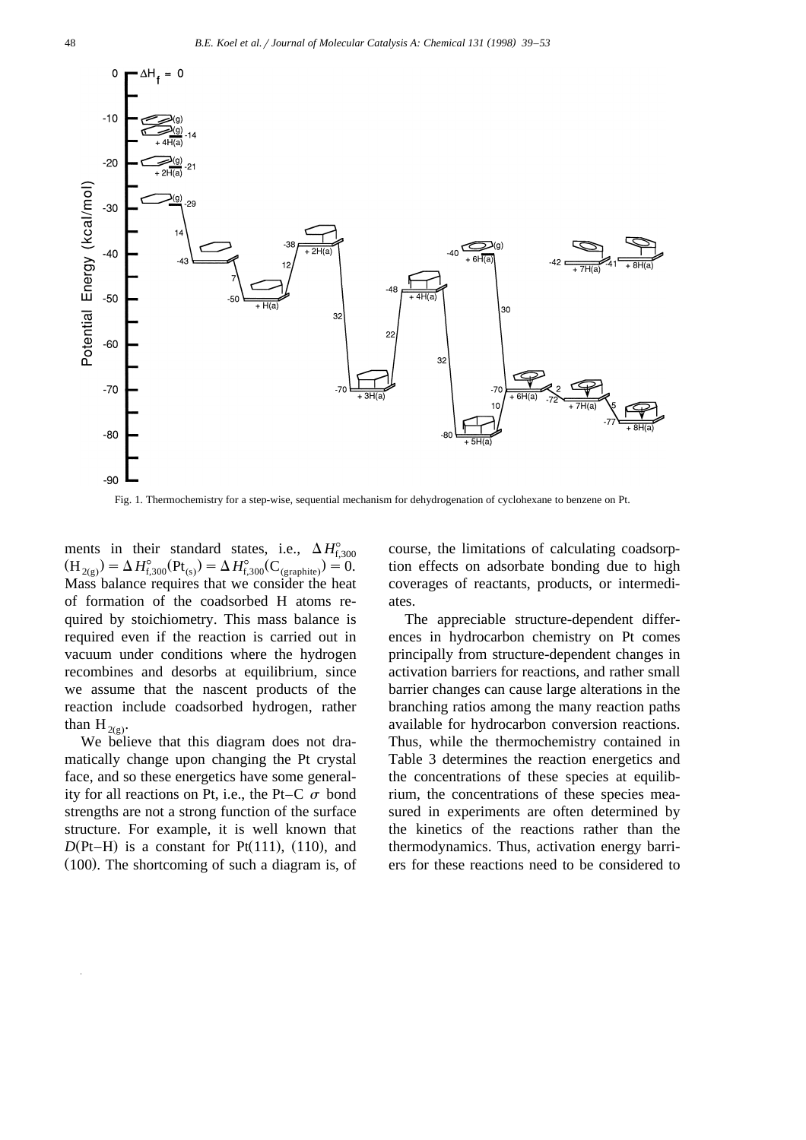

Fig. 1. Thermochemistry for a step-wise, sequential mechanism for dehydrogenation of cyclohexane to benzene on Pt.

ments in their standard states, i.e.,  $\Delta H_{6,300}^{\circ}$  $(H_{2(g)}) = \Delta H_{f,300}^{\circ}(\text{Pt}_{(s)}) = \Delta H_{f,300}^{\circ}(\text{C}_{(graphite)}) = 0.$ Mass balance requires that we consider the heat of formation of the coadsorbed H atoms required by stoichiometry. This mass balance is required even if the reaction is carried out in vacuum under conditions where the hydrogen recombines and desorbs at equilibrium, since we assume that the nascent products of the reaction include coadsorbed hydrogen, rather than  $H_{2(g)}$ .

We believe that this diagram does not dramatically change upon changing the Pt crystal face, and so these energetics have some generality for all reactions on Pt, i.e., the Pt–C  $\sigma$  bond strengths are not a strong function of the surface structure. For example, it is well known that  $D(Pt-H)$  is a constant for Pt  $(111)$ ,  $(110)$ , and  $(100)$ . The shortcoming of such a diagram is, of

course, the limitations of calculating coadsorption effects on adsorbate bonding due to high coverages of reactants, products, or intermediates.

The appreciable structure-dependent differences in hydrocarbon chemistry on Pt comes principally from structure-dependent changes in activation barriers for reactions, and rather small barrier changes can cause large alterations in the branching ratios among the many reaction paths available for hydrocarbon conversion reactions. Thus, while the thermochemistry contained in Table 3 determines the reaction energetics and the concentrations of these species at equilibrium, the concentrations of these species measured in experiments are often determined by the kinetics of the reactions rather than the thermodynamics. Thus, activation energy barriers for these reactions need to be considered to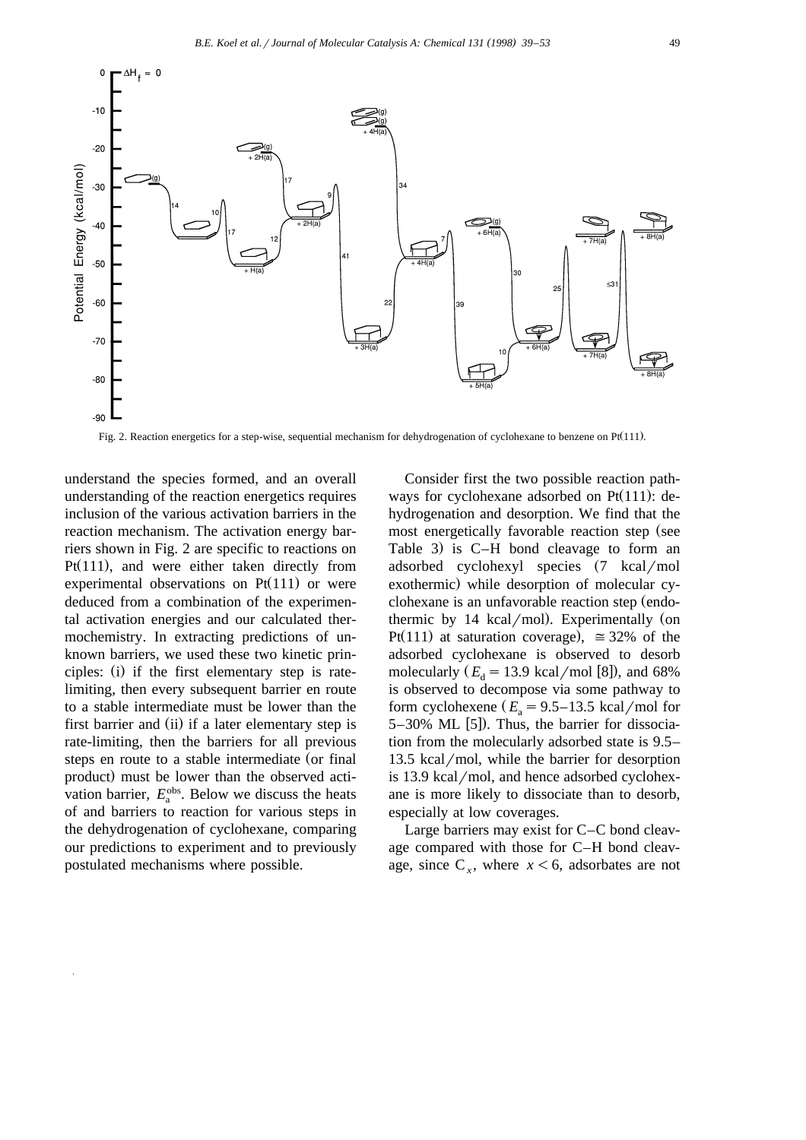

Fig. 2. Reaction energetics for a step-wise, sequential mechanism for dehydrogenation of cyclohexane to benzene on  $Pf(111)$ .

understand the species formed, and an overall understanding of the reaction energetics requires inclusion of the various activation barriers in the reaction mechanism. The activation energy barriers shown in Fig. 2 are specific to reactions on  $Pt(111)$ , and were either taken directly from experimental observations on  $Pt(111)$  or were deduced from a combination of the experimental activation energies and our calculated thermochemistry. In extracting predictions of unknown barriers, we used these two kinetic principles: (i) if the first elementary step is ratelimiting, then every subsequent barrier en route to a stable intermediate must be lower than the first barrier and (ii) if a later elementary step is rate-limiting, then the barriers for all previous steps en route to a stable intermediate (or final product) must be lower than the observed activation barrier,  $E_a^{\text{obs}}$ . Below we discuss the heats of and barriers to reaction for various steps in the dehydrogenation of cyclohexane, comparing our predictions to experiment and to previously postulated mechanisms where possible.

Consider first the two possible reaction pathways for cyclohexane adsorbed on  $Pt(111)$ : dehydrogenation and desorption. We find that the most energetically favorable reaction step (see Table 3) is  $C-H$  bond cleavage to form an adsorbed cyclohexyl species  $(7 \text{ kcal/mol})$ exothermic) while desorption of molecular cyclohexane is an unfavorable reaction step (endothermic by 14 kcal/mol). Experimentally (on Pt(111) at saturation coverage),  $\approx 32\%$  of the adsorbed cyclohexane is observed to desorb molecularly  $(E_d = 13.9 \text{ kcal/mol} [8])$ , and 68% is observed to decompose via some pathway to form cyclohexene  $(E<sub>s</sub> = 9.5-13.5$  kcal/mol for  $5-30\%$  ML  $[5]$ ). Thus, the barrier for dissociation from the molecularly adsorbed state is 9.5–  $13.5$  kcal/mol, while the barrier for desorption is  $13.9 \text{ kcal/mol}$ , and hence adsorbed cyclohexane is more likely to dissociate than to desorb, especially at low coverages.

Large barriers may exist for C–C bond cleavage compared with those for C–H bond cleavage, since  $C_x$ , where  $x < 6$ , adsorbates are not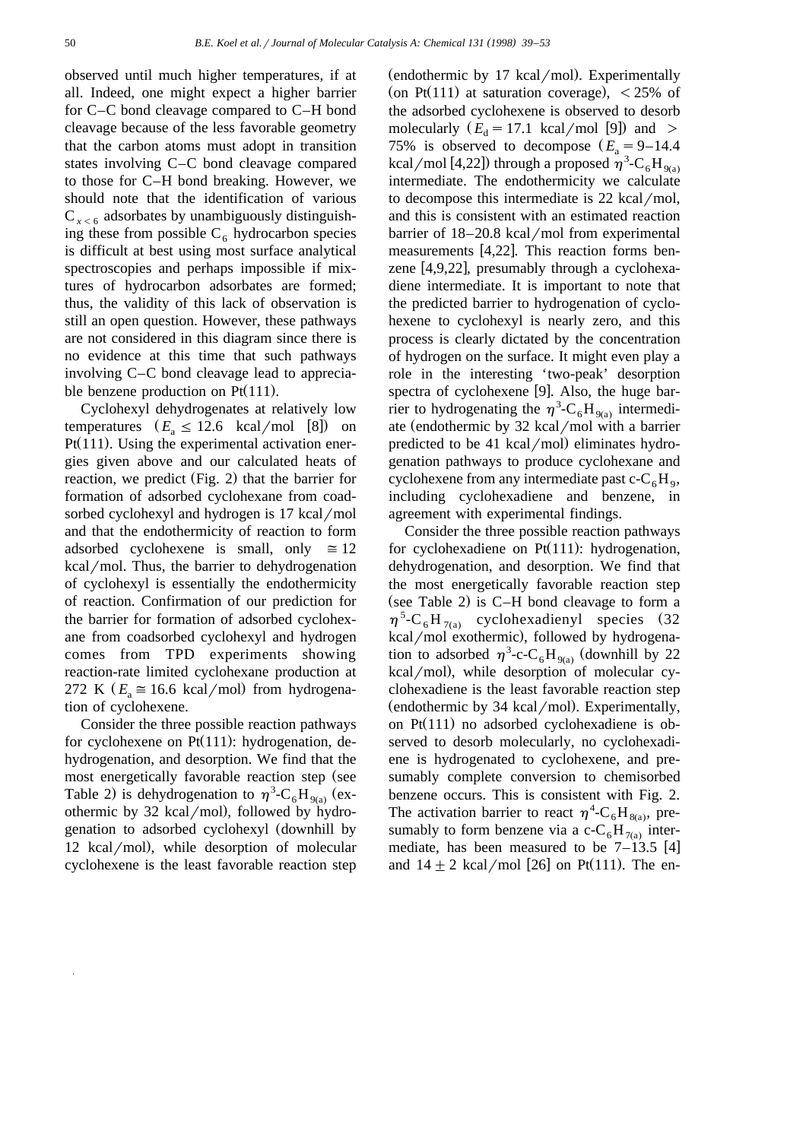observed until much higher temperatures, if at all. Indeed, one might expect a higher barrier for C–C bond cleavage compared to C–H bond cleavage because of the less favorable geometry that the carbon atoms must adopt in transition states involving C–C bond cleavage compared to those for C–H bond breaking. However, we should note that the identification of various  $C_{x \leq 6}$  adsorbates by unambiguously distinguishing these from possible  $C_6$  hydrocarbon species is difficult at best using most surface analytical spectroscopies and perhaps impossible if mixtures of hydrocarbon adsorbates are formed; thus, the validity of this lack of observation is still an open question. However, these pathways are not considered in this diagram since there is no evidence at this time that such pathways involving C–C bond cleavage lead to appreciable benzene production on  $Pt(111)$ .

Cyclohexyl dehydrogenates at relatively low temperatures  $(E_a \le 12.6 \text{ kcal/mol} [8])$  on  $Pt(111)$ . Using the experimental activation energies given above and our calculated heats of reaction, we predict (Fig. 2) that the barrier for formation of adsorbed cyclohexane from coadsorbed cyclohexyl and hydrogen is  $17 \text{ kcal/mol}$ and that the endothermicity of reaction to form adsorbed cyclohexene is small, only  $\approx 12$  $kcal/mol$ . Thus, the barrier to dehydrogenation of cyclohexyl is essentially the endothermicity of reaction. Confirmation of our prediction for the barrier for formation of adsorbed cyclohexane from coadsorbed cyclohexyl and hydrogen comes from TPD experiments showing reaction-rate limited cyclohexane production at 272 K  $(E_a \cong 16.6 \text{ kcal/mol})$  from hydrogenation of cyclohexene.

Consider the three possible reaction pathways for cyclohexene on  $Pt(111)$ : hydrogenation, dehydrogenation, and desorption. We find that the most energetically favorable reaction step (see Table 2) is dehydrogenation to  $\eta^3$ -C<sub>6</sub>H<sub>9(a)</sub> (exothermic by 32 kcal/mol), followed by hydrogenation to adsorbed cyclohexyl downhill by Ž  $12 \text{ kcal/mol}$ , while desorption of molecular cyclohexene is the least favorable reaction step (endothermic by 17 kcal/mol). Experimentally (on Pt(111) at saturation coverage),  $\langle 25\% \rangle$  of the adsorbed cyclohexene is observed to desorb molecularly  $(E_d = 17.1 \text{ kcal/mol [9])}$  and > 75% is observed to decompose  $(E_a = 9-14.4$ kcal/mol [4,22]) through a proposed  $\eta^3$ -C<sub>6</sub>H<sub>9(a)</sub> intermediate. The endothermicity we calculate to decompose this intermediate is  $22$  kcal/mol, and this is consistent with an estimated reaction barrier of  $18-20.8$  kcal/mol from experimental measurements  $[4,22]$ . This reaction forms benzene  $[4,9,22]$ , presumably through a cyclohexadiene intermediate. It is important to note that the predicted barrier to hydrogenation of cyclohexene to cyclohexyl is nearly zero, and this process is clearly dictated by the concentration of hydrogen on the surface. It might even play a role in the interesting 'two-peak' desorption spectra of cyclohexene  $[9]$ . Also, the huge barrier to hydrogenating the  $\eta^3$ -C<sub>6</sub>H<sub>9(a)</sub> intermediate (endothermic by 32 kcal/mol with a barrier predicted to be 41 kcal/mol) eliminates hydrogenation pathways to produce cyclohexane and cyclohexene from any intermediate past  $c - C_6 H_0$ , including cyclohexadiene and benzene, in agreement with experimental findings.

Consider the three possible reaction pathways for cyclohexadiene on  $Pt(111)$ : hydrogenation, dehydrogenation, and desorption. We find that the most energetically favorable reaction step (see Table 2) is  $C-H$  bond cleavage to form a  $\eta^5$ -C<sub>6</sub>H<sub>7(a)</sub> cyclohexadienyl species (32 kcal/mol exothermic), followed by hydrogenation to adsorbed  $\eta^3$ -c-C<sub>6</sub>H<sub>9(a)</sub> (downhill by 22  $kcal/mol$ , while desorption of molecular cyclohexadiene is the least favorable reaction step (endothermic by 34 kcal/mol). Experimentally, on  $Pt(111)$  no adsorbed cyclohexadiene is observed to desorb molecularly, no cyclohexadiene is hydrogenated to cyclohexene, and presumably complete conversion to chemisorbed benzene occurs. This is consistent with Fig. 2. The activation barrier to react  $\eta^4$ -C<sub>6</sub>H<sub>8(a)</sub>, presumably to form benzene via a c-C<sub>6</sub>H<sub>7(a)</sub> intermediate, has been measured to be  $7-13.5$  [4] and  $14 \pm 2$  kcal/mol [26] on Pt (111). The en-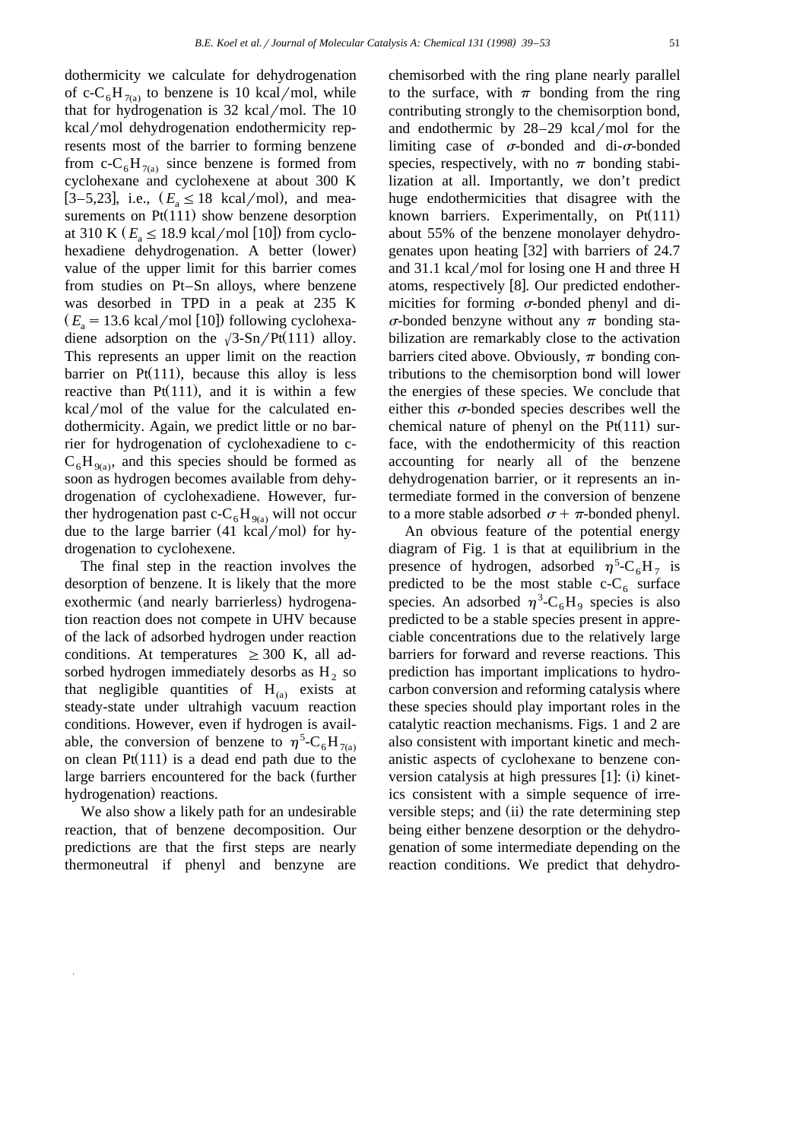dothermicity we calculate for dehydrogenation of c-C<sub>6</sub>H<sub>7(a)</sub> to benzene is 10 kcal/mol, while that for hydrogenation is  $32$  kcal/mol. The 10 kcal/mol dehydrogenation endothermicity represents most of the barrier to forming benzene from c-C<sub>6</sub>H<sub>7(a)</sub> since benzene is formed from cyclohexane and cyclohexene at about 300 K  $[3-5,23]$ , i.e.,  $(E_a \le 18 \text{ kcal/mol})$ , and measurements on  $Pt(111)$  show benzene desorption at 310 K ( $E_a \le 18.9$  kcal/mol [10]) from cyclohexadiene dehydrogenation. A better (lower) value of the upper limit for this barrier comes from studies on Pt–Sn alloys, where benzene was desorbed in TPD in a peak at 235 K  $(E<sub>s</sub> = 13.6 \text{ kcal/mol}$  [10]) following cyclohexadiene adsorption on the  $\sqrt{3-Sn/Pt}$  (111) alloy. This represents an upper limit on the reaction barrier on  $Pt(111)$ , because this alloy is less reactive than  $Pt(111)$ , and it is within a few  $kcal/mol$  of the value for the calculated endothermicity. Again, we predict little or no barrier for hydrogenation of cyclohexadiene to c- $C_6H_{9(a)}$ , and this species should be formed as soon as hydrogen becomes available from dehydrogenation of cyclohexadiene. However, further hydrogenation past  $c-C_6H_{9(a)}$  will not occur due to the large barrier  $(41 \text{ kcal/mol})$  for hydrogenation to cyclohexene.

The final step in the reaction involves the desorption of benzene. It is likely that the more exothermic (and nearly barrierless) hydrogenation reaction does not compete in UHV because of the lack of adsorbed hydrogen under reaction conditions. At temperatures  $\geq 300$  K, all adsorbed hydrogen immediately desorbs as  $H_2$  so that negligible quantities of  $H_{(a)}$  exists at steady-state under ultrahigh vacuum reaction conditions. However, even if hydrogen is available, the conversion of benzene to  $\eta^5$ -C<sub>6</sub>H<sub>7(a)</sub> on clean  $Pt(111)$  is a dead end path due to the large barriers encountered for the back (further hydrogenation) reactions.

We also show a likely path for an undesirable reaction, that of benzene decomposition. Our predictions are that the first steps are nearly thermoneutral if phenyl and benzyne are

chemisorbed with the ring plane nearly parallel to the surface, with  $\pi$  bonding from the ring contributing strongly to the chemisorption bond, and endothermic by  $28-29$  kcal/mol for the limiting case of  $\sigma$ -bonded and di- $\sigma$ -bonded species, respectively, with no  $\pi$  bonding stabilization at all. Importantly, we don't predict huge endothermicities that disagree with the known barriers. Experimentally, on  $Pt(111)$ about 55% of the benzene monolayer dehydrogenates upon heating  $[32]$  with barriers of 24.7 and  $31.1$  kcal/mol for losing one H and three H atoms, respectively [8]. Our predicted endothermicities for forming  $\sigma$ -bonded phenyl and di- $\sigma$ -bonded benzyne without any  $\pi$  bonding stabilization are remarkably close to the activation barriers cited above. Obviously,  $\pi$  bonding contributions to the chemisorption bond will lower the energies of these species. We conclude that either this  $\sigma$ -bonded species describes well the chemical nature of phenyl on the  $Pt(111)$  surface, with the endothermicity of this reaction accounting for nearly all of the benzene dehydrogenation barrier, or it represents an intermediate formed in the conversion of benzene to a more stable adsorbed  $\sigma + \pi$ -bonded phenyl.

An obvious feature of the potential energy diagram of Fig. 1 is that at equilibrium in the presence of hydrogen, adsorbed  $\eta^5$ -C<sub>6</sub>H<sub>7</sub> is predicted to be the most stable  $c-C_6$  surface species. An adsorbed  $\eta^3$ -C<sub>6</sub>H<sub>9</sub> species is also predicted to be a stable species present in appreciable concentrations due to the relatively large barriers for forward and reverse reactions. This prediction has important implications to hydrocarbon conversion and reforming catalysis where these species should play important roles in the catalytic reaction mechanisms. Figs. 1 and 2 are also consistent with important kinetic and mechanistic aspects of cyclohexane to benzene conversion catalysis at high pressures  $[1]$ : (i) kinetics consistent with a simple sequence of irreversible steps; and (ii) the rate determining step being either benzene desorption or the dehydrogenation of some intermediate depending on the reaction conditions. We predict that dehydro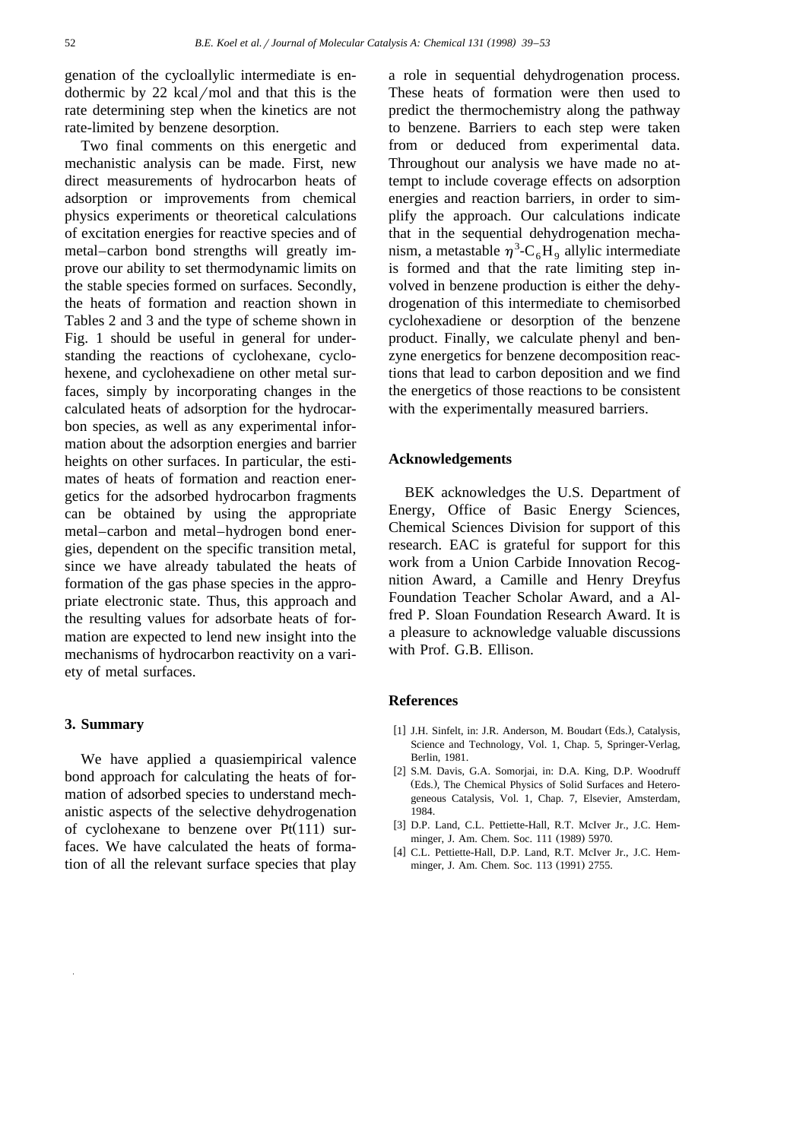genation of the cycloallylic intermediate is endothermic by  $22$  kcal/mol and that this is the rate determining step when the kinetics are not rate-limited by benzene desorption.

Two final comments on this energetic and mechanistic analysis can be made. First, new direct measurements of hydrocarbon heats of adsorption or improvements from chemical physics experiments or theoretical calculations of excitation energies for reactive species and of metal–carbon bond strengths will greatly improve our ability to set thermodynamic limits on the stable species formed on surfaces. Secondly, the heats of formation and reaction shown in Tables 2 and 3 and the type of scheme shown in Fig. 1 should be useful in general for understanding the reactions of cyclohexane, cyclohexene, and cyclohexadiene on other metal surfaces, simply by incorporating changes in the calculated heats of adsorption for the hydrocarbon species, as well as any experimental information about the adsorption energies and barrier heights on other surfaces. In particular, the estimates of heats of formation and reaction energetics for the adsorbed hydrocarbon fragments can be obtained by using the appropriate metal–carbon and metal–hydrogen bond energies, dependent on the specific transition metal, since we have already tabulated the heats of formation of the gas phase species in the appropriate electronic state. Thus, this approach and the resulting values for adsorbate heats of formation are expected to lend new insight into the mechanisms of hydrocarbon reactivity on a variety of metal surfaces.

## **3. Summary**

We have applied a quasiempirical valence bond approach for calculating the heats of formation of adsorbed species to understand mechanistic aspects of the selective dehydrogenation of cyclohexane to benzene over  $Pt(111)$  surfaces. We have calculated the heats of formation of all the relevant surface species that play a role in sequential dehydrogenation process. These heats of formation were then used to predict the thermochemistry along the pathway to benzene. Barriers to each step were taken from or deduced from experimental data. Throughout our analysis we have made no attempt to include coverage effects on adsorption energies and reaction barriers, in order to simplify the approach. Our calculations indicate that in the sequential dehydrogenation mechanism, a metastable  $\eta^3$ -C<sub>6</sub>H<sub>9</sub> allylic intermediate is formed and that the rate limiting step involved in benzene production is either the dehydrogenation of this intermediate to chemisorbed cyclohexadiene or desorption of the benzene product. Finally, we calculate phenyl and benzyne energetics for benzene decomposition reactions that lead to carbon deposition and we find the energetics of those reactions to be consistent with the experimentally measured barriers.

#### **Acknowledgements**

BEK acknowledges the U.S. Department of Energy, Office of Basic Energy Sciences, Chemical Sciences Division for support of this research. EAC is grateful for support for this work from a Union Carbide Innovation Recognition Award, a Camille and Henry Dreyfus Foundation Teacher Scholar Award, and a Alfred P. Sloan Foundation Research Award. It is a pleasure to acknowledge valuable discussions with Prof. G.B. Ellison.

## **References**

- [1] J.H. Sinfelt, in: J.R. Anderson, M. Boudart (Eds.), Catalysis, Science and Technology, Vol. 1, Chap. 5, Springer-Verlag, Berlin, 1981.
- [2] S.M. Davis, G.A. Somorjai, in: D.A. King, D.P. Woodruff (Eds.), The Chemical Physics of Solid Surfaces and Heterogeneous Catalysis, Vol. 1, Chap. 7, Elsevier, Amsterdam, 1984.
- [3] D.P. Land, C.L. Pettiette-Hall, R.T. McIver Jr., J.C. Hemminger, J. Am. Chem. Soc. 111 (1989) 5970.
- [4] C.L. Pettiette-Hall, D.P. Land, R.T. McIver Jr., J.C. Hemminger, J. Am. Chem. Soc. 113 (1991) 2755.